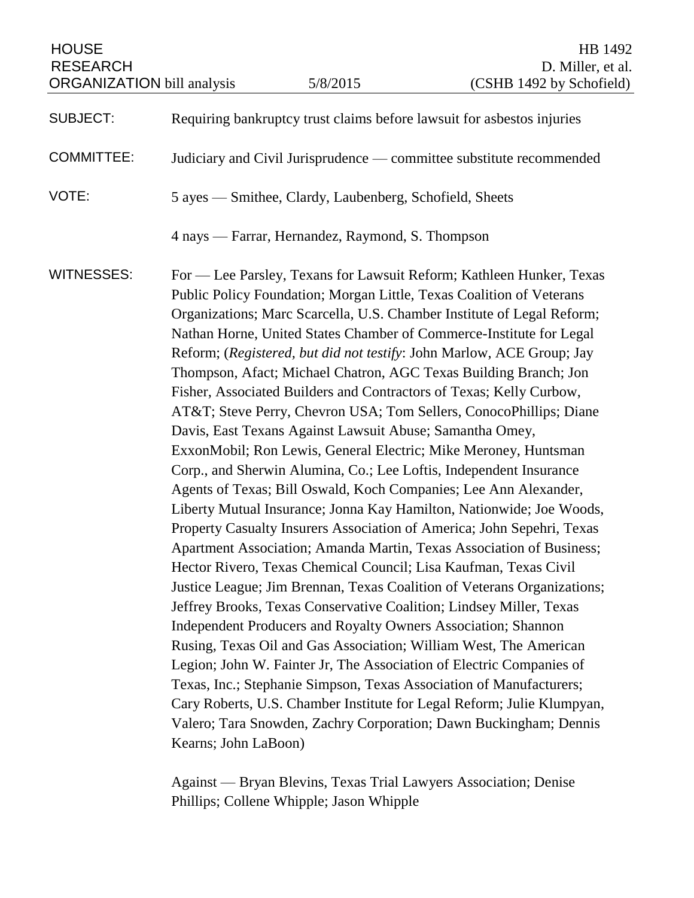HOUSE HB 1492 RESEARCH D. Miller, et al.<br>
ORGANIZATION bill analysis 5/8/2015 (CSHB 1492 by Schofield) ORGANIZATION bill analysis

| <b>SUBJECT:</b>   | Requiring bankruptcy trust claims before lawsuit for asbestos injuries                                                                                                                                                                                                                                                                                                                                                                                                                                                                                                                                                                                                                                                                                                                                                                                                                                                                                                                                                                                                                                                                                                                                                                                                                                                                                                                                                                                                                                                                                                                                                                                                                                                                                                      |
|-------------------|-----------------------------------------------------------------------------------------------------------------------------------------------------------------------------------------------------------------------------------------------------------------------------------------------------------------------------------------------------------------------------------------------------------------------------------------------------------------------------------------------------------------------------------------------------------------------------------------------------------------------------------------------------------------------------------------------------------------------------------------------------------------------------------------------------------------------------------------------------------------------------------------------------------------------------------------------------------------------------------------------------------------------------------------------------------------------------------------------------------------------------------------------------------------------------------------------------------------------------------------------------------------------------------------------------------------------------------------------------------------------------------------------------------------------------------------------------------------------------------------------------------------------------------------------------------------------------------------------------------------------------------------------------------------------------------------------------------------------------------------------------------------------------|
| <b>COMMITTEE:</b> | Judiciary and Civil Jurisprudence — committee substitute recommended                                                                                                                                                                                                                                                                                                                                                                                                                                                                                                                                                                                                                                                                                                                                                                                                                                                                                                                                                                                                                                                                                                                                                                                                                                                                                                                                                                                                                                                                                                                                                                                                                                                                                                        |
| VOTE:             | 5 ayes - Smithee, Clardy, Laubenberg, Schofield, Sheets                                                                                                                                                                                                                                                                                                                                                                                                                                                                                                                                                                                                                                                                                                                                                                                                                                                                                                                                                                                                                                                                                                                                                                                                                                                                                                                                                                                                                                                                                                                                                                                                                                                                                                                     |
|                   | 4 nays — Farrar, Hernandez, Raymond, S. Thompson                                                                                                                                                                                                                                                                                                                                                                                                                                                                                                                                                                                                                                                                                                                                                                                                                                                                                                                                                                                                                                                                                                                                                                                                                                                                                                                                                                                                                                                                                                                                                                                                                                                                                                                            |
| <b>WITNESSES:</b> | For — Lee Parsley, Texans for Lawsuit Reform; Kathleen Hunker, Texas<br>Public Policy Foundation; Morgan Little, Texas Coalition of Veterans<br>Organizations; Marc Scarcella, U.S. Chamber Institute of Legal Reform;<br>Nathan Horne, United States Chamber of Commerce-Institute for Legal<br>Reform; (Registered, but did not testify: John Marlow, ACE Group; Jay<br>Thompson, Afact; Michael Chatron, AGC Texas Building Branch; Jon<br>Fisher, Associated Builders and Contractors of Texas; Kelly Curbow,<br>AT&T Steve Perry, Chevron USA; Tom Sellers, ConocoPhillips; Diane<br>Davis, East Texans Against Lawsuit Abuse; Samantha Omey,<br>ExxonMobil; Ron Lewis, General Electric; Mike Meroney, Huntsman<br>Corp., and Sherwin Alumina, Co.; Lee Loftis, Independent Insurance<br>Agents of Texas; Bill Oswald, Koch Companies; Lee Ann Alexander,<br>Liberty Mutual Insurance; Jonna Kay Hamilton, Nationwide; Joe Woods,<br>Property Casualty Insurers Association of America; John Sepehri, Texas<br>Apartment Association; Amanda Martin, Texas Association of Business;<br>Hector Rivero, Texas Chemical Council; Lisa Kaufman, Texas Civil<br>Justice League; Jim Brennan, Texas Coalition of Veterans Organizations;<br>Jeffrey Brooks, Texas Conservative Coalition; Lindsey Miller, Texas<br>Independent Producers and Royalty Owners Association; Shannon<br>Rusing, Texas Oil and Gas Association; William West, The American<br>Legion; John W. Fainter Jr, The Association of Electric Companies of<br>Texas, Inc.; Stephanie Simpson, Texas Association of Manufacturers;<br>Cary Roberts, U.S. Chamber Institute for Legal Reform; Julie Klumpyan,<br>Valero; Tara Snowden, Zachry Corporation; Dawn Buckingham; Dennis<br>Kearns; John LaBoon) |

Against — Bryan Blevins, Texas Trial Lawyers Association; Denise Phillips; Collene Whipple; Jason Whipple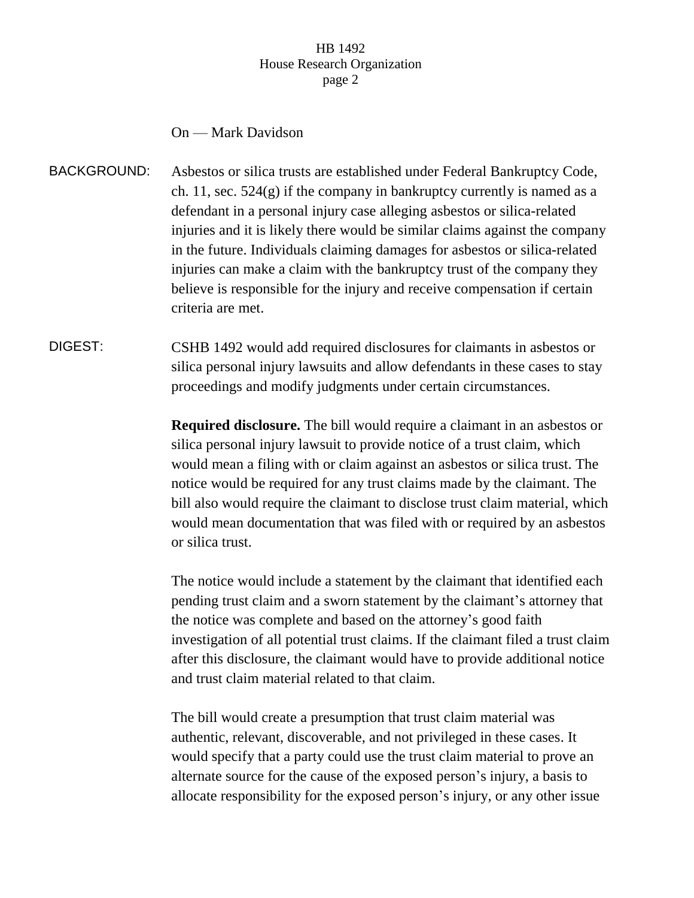## On — Mark Davidson

- BACKGROUND: Asbestos or silica trusts are established under Federal Bankruptcy Code, ch. 11, sec.  $524(g)$  if the company in bankruptcy currently is named as a defendant in a personal injury case alleging asbestos or silica-related injuries and it is likely there would be similar claims against the company in the future. Individuals claiming damages for asbestos or silica-related injuries can make a claim with the bankruptcy trust of the company they believe is responsible for the injury and receive compensation if certain criteria are met.
- DIGEST: CSHB 1492 would add required disclosures for claimants in asbestos or silica personal injury lawsuits and allow defendants in these cases to stay proceedings and modify judgments under certain circumstances.

**Required disclosure.** The bill would require a claimant in an asbestos or silica personal injury lawsuit to provide notice of a trust claim, which would mean a filing with or claim against an asbestos or silica trust. The notice would be required for any trust claims made by the claimant. The bill also would require the claimant to disclose trust claim material, which would mean documentation that was filed with or required by an asbestos or silica trust.

The notice would include a statement by the claimant that identified each pending trust claim and a sworn statement by the claimant's attorney that the notice was complete and based on the attorney's good faith investigation of all potential trust claims. If the claimant filed a trust claim after this disclosure, the claimant would have to provide additional notice and trust claim material related to that claim.

The bill would create a presumption that trust claim material was authentic, relevant, discoverable, and not privileged in these cases. It would specify that a party could use the trust claim material to prove an alternate source for the cause of the exposed person's injury, a basis to allocate responsibility for the exposed person's injury, or any other issue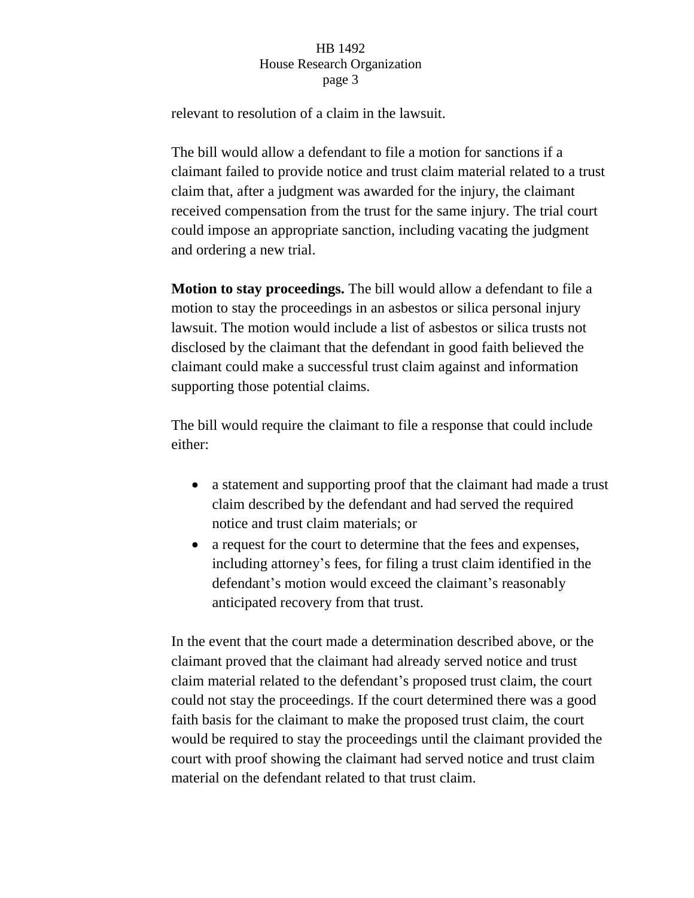relevant to resolution of a claim in the lawsuit.

The bill would allow a defendant to file a motion for sanctions if a claimant failed to provide notice and trust claim material related to a trust claim that, after a judgment was awarded for the injury, the claimant received compensation from the trust for the same injury. The trial court could impose an appropriate sanction, including vacating the judgment and ordering a new trial.

**Motion to stay proceedings.** The bill would allow a defendant to file a motion to stay the proceedings in an asbestos or silica personal injury lawsuit. The motion would include a list of asbestos or silica trusts not disclosed by the claimant that the defendant in good faith believed the claimant could make a successful trust claim against and information supporting those potential claims.

The bill would require the claimant to file a response that could include either:

- a statement and supporting proof that the claimant had made a trust claim described by the defendant and had served the required notice and trust claim materials; or
- a request for the court to determine that the fees and expenses, including attorney's fees, for filing a trust claim identified in the defendant's motion would exceed the claimant's reasonably anticipated recovery from that trust.

In the event that the court made a determination described above, or the claimant proved that the claimant had already served notice and trust claim material related to the defendant's proposed trust claim, the court could not stay the proceedings. If the court determined there was a good faith basis for the claimant to make the proposed trust claim, the court would be required to stay the proceedings until the claimant provided the court with proof showing the claimant had served notice and trust claim material on the defendant related to that trust claim.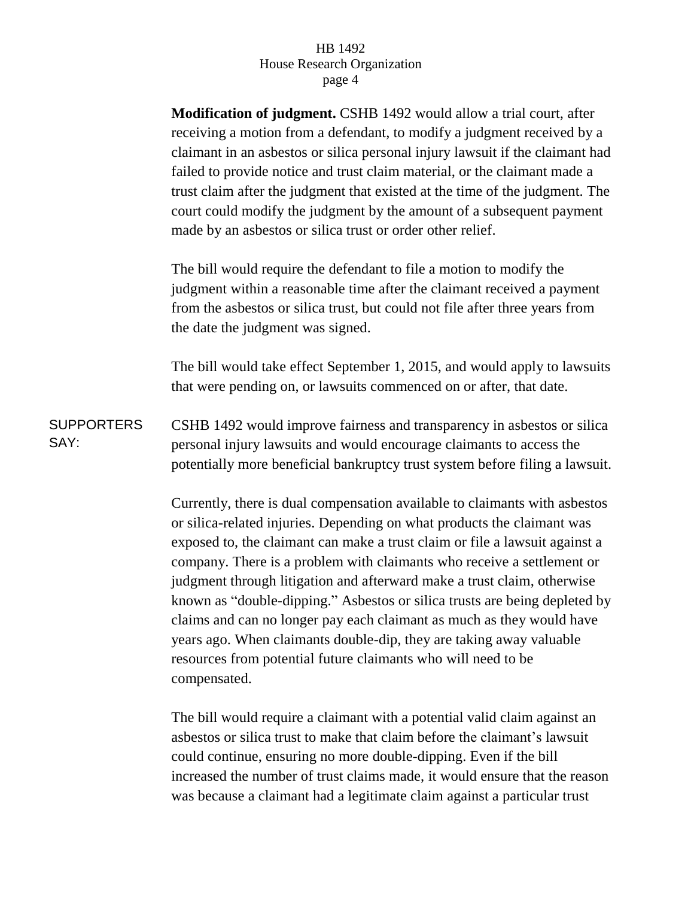| <b>SUPPORTERS</b><br>SAY: | <b>Modification of judgment.</b> CSHB 1492 would allow a trial court, after<br>receiving a motion from a defendant, to modify a judgment received by a<br>claimant in an asbestos or silica personal injury lawsuit if the claimant had<br>failed to provide notice and trust claim material, or the claimant made a<br>trust claim after the judgment that existed at the time of the judgment. The<br>court could modify the judgment by the amount of a subsequent payment<br>made by an asbestos or silica trust or order other relief.                                                                                                                                                              |
|---------------------------|----------------------------------------------------------------------------------------------------------------------------------------------------------------------------------------------------------------------------------------------------------------------------------------------------------------------------------------------------------------------------------------------------------------------------------------------------------------------------------------------------------------------------------------------------------------------------------------------------------------------------------------------------------------------------------------------------------|
|                           | The bill would require the defendant to file a motion to modify the<br>judgment within a reasonable time after the claimant received a payment<br>from the asbestos or silica trust, but could not file after three years from<br>the date the judgment was signed.                                                                                                                                                                                                                                                                                                                                                                                                                                      |
|                           | The bill would take effect September 1, 2015, and would apply to lawsuits<br>that were pending on, or lawsuits commenced on or after, that date.                                                                                                                                                                                                                                                                                                                                                                                                                                                                                                                                                         |
|                           | CSHB 1492 would improve fairness and transparency in asbestos or silica<br>personal injury lawsuits and would encourage claimants to access the<br>potentially more beneficial bankruptcy trust system before filing a lawsuit.                                                                                                                                                                                                                                                                                                                                                                                                                                                                          |
|                           | Currently, there is dual compensation available to claimants with asbestos<br>or silica-related injuries. Depending on what products the claimant was<br>exposed to, the claimant can make a trust claim or file a lawsuit against a<br>company. There is a problem with claimants who receive a settlement or<br>judgment through litigation and afterward make a trust claim, otherwise<br>known as "double-dipping." Asbestos or silica trusts are being depleted by<br>claims and can no longer pay each claimant as much as they would have<br>years ago. When claimants double-dip, they are taking away valuable<br>resources from potential future claimants who will need to be<br>compensated. |

The bill would require a claimant with a potential valid claim against an asbestos or silica trust to make that claim before the claimant's lawsuit could continue, ensuring no more double-dipping. Even if the bill increased the number of trust claims made, it would ensure that the reason was because a claimant had a legitimate claim against a particular trust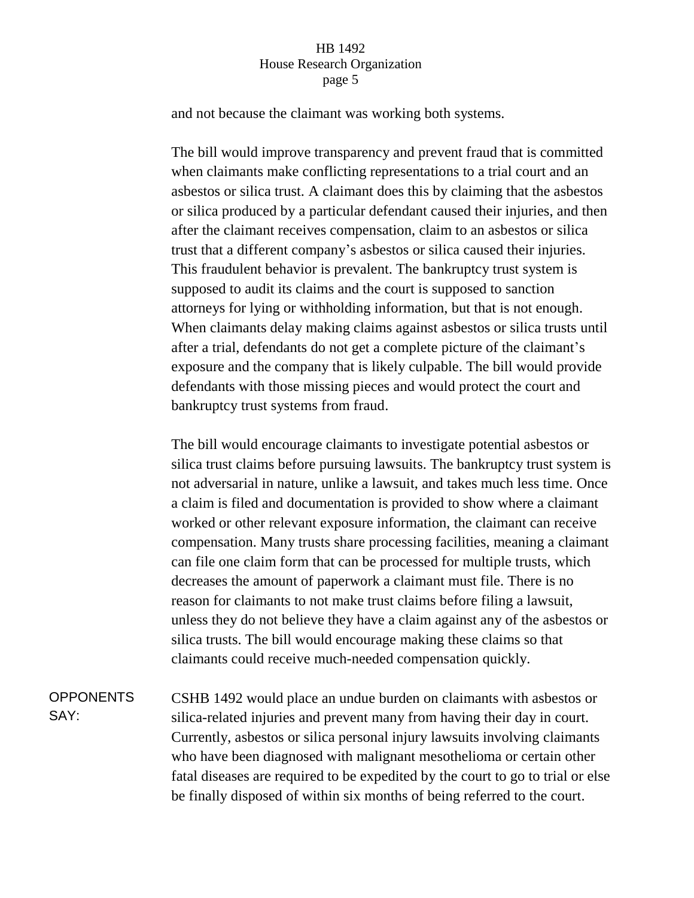and not because the claimant was working both systems.

The bill would improve transparency and prevent fraud that is committed when claimants make conflicting representations to a trial court and an asbestos or silica trust. A claimant does this by claiming that the asbestos or silica produced by a particular defendant caused their injuries, and then after the claimant receives compensation, claim to an asbestos or silica trust that a different company's asbestos or silica caused their injuries. This fraudulent behavior is prevalent. The bankruptcy trust system is supposed to audit its claims and the court is supposed to sanction attorneys for lying or withholding information, but that is not enough. When claimants delay making claims against asbestos or silica trusts until after a trial, defendants do not get a complete picture of the claimant's exposure and the company that is likely culpable. The bill would provide defendants with those missing pieces and would protect the court and bankruptcy trust systems from fraud.

The bill would encourage claimants to investigate potential asbestos or silica trust claims before pursuing lawsuits. The bankruptcy trust system is not adversarial in nature, unlike a lawsuit, and takes much less time. Once a claim is filed and documentation is provided to show where a claimant worked or other relevant exposure information, the claimant can receive compensation. Many trusts share processing facilities, meaning a claimant can file one claim form that can be processed for multiple trusts, which decreases the amount of paperwork a claimant must file. There is no reason for claimants to not make trust claims before filing a lawsuit, unless they do not believe they have a claim against any of the asbestos or silica trusts. The bill would encourage making these claims so that claimants could receive much-needed compensation quickly.

OPPONENTS SAY: CSHB 1492 would place an undue burden on claimants with asbestos or silica-related injuries and prevent many from having their day in court. Currently, asbestos or silica personal injury lawsuits involving claimants who have been diagnosed with malignant mesothelioma or certain other fatal diseases are required to be expedited by the court to go to trial or else be finally disposed of within six months of being referred to the court.